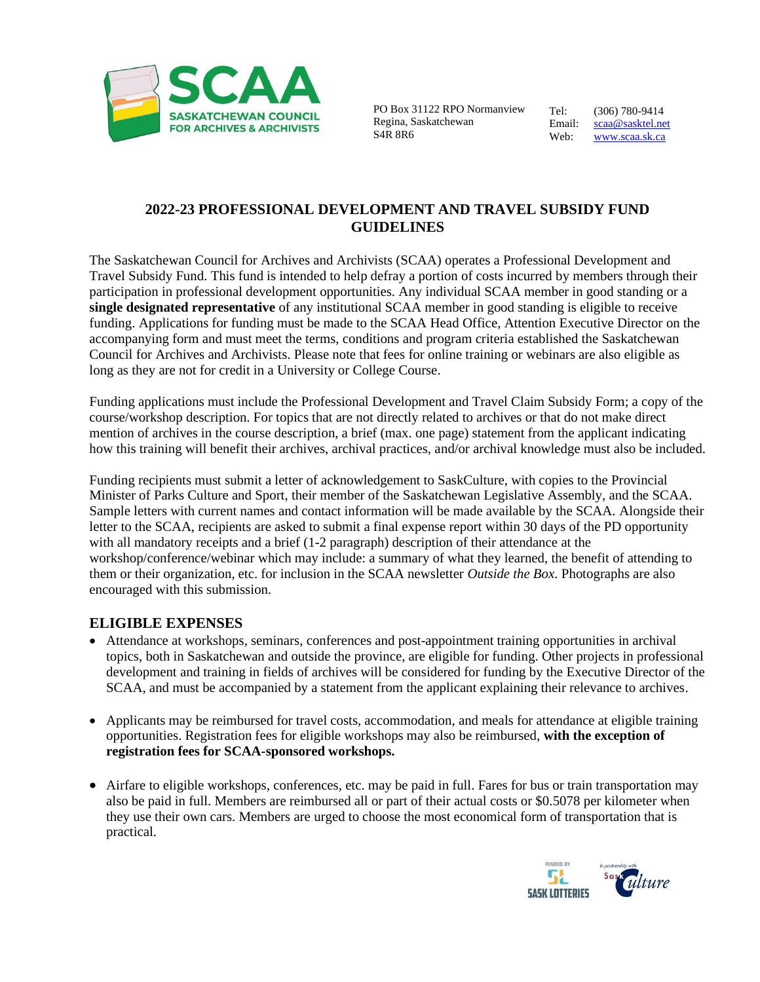

 PO Box 31122 RPO Normanview Regina, Saskatchewan S4R 8R6

Tel: (306) 780-9414 Email: [scaa@sasktel.net](mailto:scaa@sasktel.net) Web: [www.scaa.sk.ca](http://www.scaa.sk.ca/)

## **2022-23 PROFESSIONAL DEVELOPMENT AND TRAVEL SUBSIDY FUND GUIDELINES**

The Saskatchewan Council for Archives and Archivists (SCAA) operates a Professional Development and Travel Subsidy Fund. This fund is intended to help defray a portion of costs incurred by members through their participation in professional development opportunities. Any individual SCAA member in good standing or a **single designated representative** of any institutional SCAA member in good standing is eligible to receive funding. Applications for funding must be made to the SCAA Head Office, Attention Executive Director on the accompanying form and must meet the terms, conditions and program criteria established the Saskatchewan Council for Archives and Archivists. Please note that fees for online training or webinars are also eligible as long as they are not for credit in a University or College Course.

Funding applications must include the Professional Development and Travel Claim Subsidy Form; a copy of the course/workshop description. For topics that are not directly related to archives or that do not make direct mention of archives in the course description, a brief (max. one page) statement from the applicant indicating how this training will benefit their archives, archival practices, and/or archival knowledge must also be included.

Funding recipients must submit a letter of acknowledgement to SaskCulture, with copies to the Provincial Minister of Parks Culture and Sport, their member of the Saskatchewan Legislative Assembly, and the SCAA. Sample letters with current names and contact information will be made available by the SCAA. Alongside their letter to the SCAA, recipients are asked to submit a final expense report within 30 days of the PD opportunity with all mandatory receipts and a brief (1-2 paragraph) description of their attendance at the workshop/conference/webinar which may include: a summary of what they learned, the benefit of attending to them or their organization, etc. for inclusion in the SCAA newsletter *Outside the Box*. Photographs are also encouraged with this submission.

## **ELIGIBLE EXPENSES**

- Attendance at workshops, seminars, conferences and post-appointment training opportunities in archival topics, both in Saskatchewan and outside the province, are eligible for funding. Other projects in professional development and training in fields of archives will be considered for funding by the Executive Director of the SCAA, and must be accompanied by a statement from the applicant explaining their relevance to archives.
- Applicants may be reimbursed for travel costs, accommodation, and meals for attendance at eligible training opportunities. Registration fees for eligible workshops may also be reimbursed, **with the exception of registration fees for SCAA-sponsored workshops.**
- Airfare to eligible workshops, conferences, etc. may be paid in full. Fares for bus or train transportation may also be paid in full. Members are reimbursed all or part of their actual costs or \$0.5078 per kilometer when they use their own cars. Members are urged to choose the most economical form of transportation that is practical.